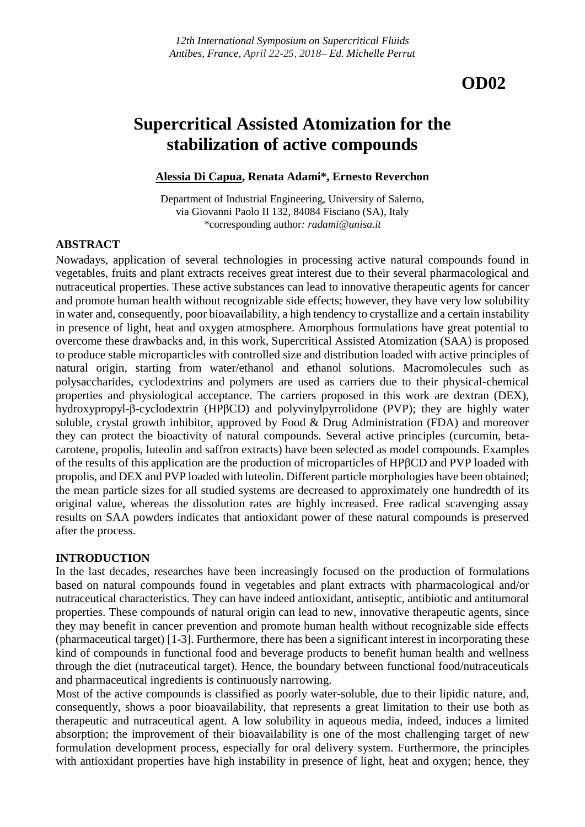# **OD02**

# **Supercritical Assisted Atomization for the stabilization of active compounds**

#### **Alessia Di Capua, Renata Adami\*, Ernesto Reverchon**

Department of Industrial Engineering, University of Salerno, via Giovanni Paolo II 132, 84084 Fisciano (SA), Italy *\**corresponding author*: radami@unisa.it*

#### **ABSTRACT**

Nowadays, application of several technologies in processing active natural compounds found in vegetables, fruits and plant extracts receives great interest due to their several pharmacological and nutraceutical properties. These active substances can lead to innovative therapeutic agents for cancer and promote human health without recognizable side effects; however, they have very low solubility in water and, consequently, poor bioavailability, a high tendency to crystallize and a certain instability in presence of light, heat and oxygen atmosphere. Amorphous formulations have great potential to overcome these drawbacks and, in this work, Supercritical Assisted Atomization (SAA) is proposed to produce stable microparticles with controlled size and distribution loaded with active principles of natural origin, starting from water/ethanol and ethanol solutions. Macromolecules such as polysaccharides, cyclodextrins and polymers are used as carriers due to their physical-chemical properties and physiological acceptance. The carriers proposed in this work are dextran (DEX), hydroxypropyl-β-cyclodextrin (HPβCD) and polyvinylpyrrolidone (PVP); they are highly water soluble, crystal growth inhibitor, approved by Food & Drug Administration (FDA) and moreover they can protect the bioactivity of natural compounds. Several active principles (curcumin, betacarotene, propolis, luteolin and saffron extracts) have been selected as model compounds. Examples of the results of this application are the production of microparticles of HPβCD and PVP loaded with propolis, and DEX and PVP loaded with luteolin. Different particle morphologies have been obtained; the mean particle sizes for all studied systems are decreased to approximately one hundredth of its original value, whereas the dissolution rates are highly increased. Free radical scavenging assay results on SAA powders indicates that antioxidant power of these natural compounds is preserved after the process.

#### **INTRODUCTION**

In the last decades, researches have been increasingly focused on the production of formulations based on natural compounds found in vegetables and plant extracts with pharmacological and/or nutraceutical characteristics. They can have indeed antioxidant, antiseptic, antibiotic and antitumoral properties. These compounds of natural origin can lead to new, innovative therapeutic agents, since they may benefit in cancer prevention and promote human health without recognizable side effects (pharmaceutical target) [1-3]. Furthermore, there has been a significant interest in incorporating these kind of compounds in functional food and beverage products to benefit human health and wellness through the diet (nutraceutical target). Hence, the boundary between functional food/nutraceuticals and pharmaceutical ingredients is continuously narrowing.

Most of the active compounds is classified as poorly water-soluble, due to their lipidic nature, and, consequently, shows a poor bioavailability, that represents a great limitation to their use both as therapeutic and nutraceutical agent. A low solubility in aqueous media, indeed, induces a limited absorption; the improvement of their bioavailability is one of the most challenging target of new formulation development process, especially for oral delivery system. Furthermore, the principles with antioxidant properties have high instability in presence of light, heat and oxygen; hence, they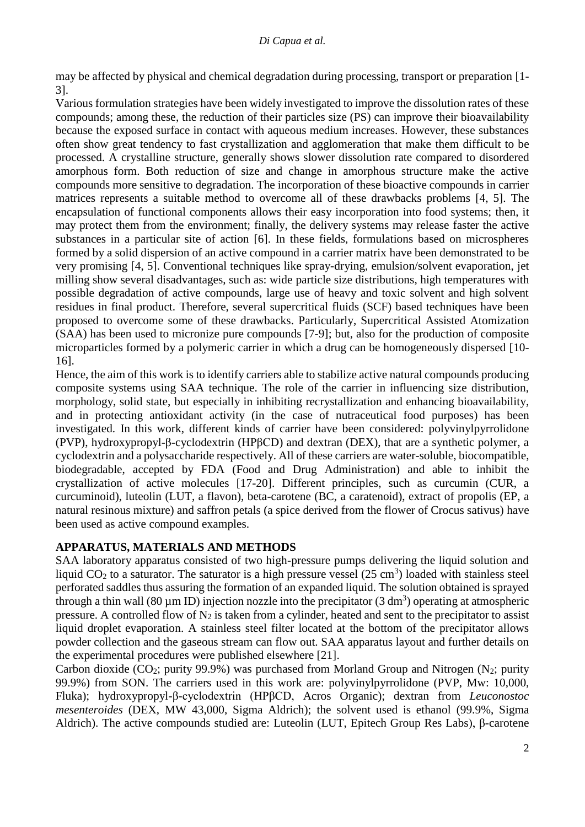may be affected by physical and chemical degradation during processing, transport or preparation [1- 3].

Various formulation strategies have been widely investigated to improve the dissolution rates of these compounds; among these, the reduction of their particles size (PS) can improve their bioavailability because the exposed surface in contact with aqueous medium increases. However, these substances often show great tendency to fast crystallization and agglomeration that make them difficult to be processed. A crystalline structure, generally shows slower dissolution rate compared to disordered amorphous form. Both reduction of size and change in amorphous structure make the active compounds more sensitive to degradation. The incorporation of these bioactive compounds in carrier matrices represents a suitable method to overcome all of these drawbacks problems [4, 5]. The encapsulation of functional components allows their easy incorporation into food systems; then, it may protect them from the environment; finally, the delivery systems may release faster the active substances in a particular site of action [6]. In these fields, formulations based on microspheres formed by a solid dispersion of an active compound in a carrier matrix have been demonstrated to be very promising [4, 5]. Conventional techniques like spray-drying, emulsion/solvent evaporation, jet milling show several disadvantages, such as: wide particle size distributions, high temperatures with possible degradation of active compounds, large use of heavy and toxic solvent and high solvent residues in final product. Therefore, several supercritical fluids (SCF) based techniques have been proposed to overcome some of these drawbacks. Particularly, Supercritical Assisted Atomization (SAA) has been used to micronize pure compounds [7-9]; but, also for the production of composite microparticles formed by a polymeric carrier in which a drug can be homogeneously dispersed [10- 16].

Hence, the aim of this work is to identify carriers able to stabilize active natural compounds producing composite systems using SAA technique. The role of the carrier in influencing size distribution, morphology, solid state, but especially in inhibiting recrystallization and enhancing bioavailability, and in protecting antioxidant activity (in the case of nutraceutical food purposes) has been investigated. In this work, different kinds of carrier have been considered: polyvinylpyrrolidone (PVP), hydroxypropyl-β-cyclodextrin (HPβCD) and dextran (DEX), that are a synthetic polymer, a cyclodextrin and a polysaccharide respectively. All of these carriers are water-soluble, biocompatible, biodegradable, accepted by FDA (Food and Drug Administration) and able to inhibit the crystallization of active molecules [17-20]. Different principles, such as curcumin (CUR, a curcuminoid), luteolin (LUT, a flavon), beta-carotene (BC, a caratenoid), extract of propolis (EP, a natural resinous mixture) and saffron petals (a spice derived from the flower of Crocus sativus) have been used as active compound examples.

# **APPARATUS, MATERIALS AND METHODS**

SAA laboratory apparatus consisted of two high-pressure pumps delivering the liquid solution and liquid  $CO<sub>2</sub>$  to a saturator. The saturator is a high pressure vessel (25 cm<sup>3</sup>) loaded with stainless steel perforated saddles thus assuring the formation of an expanded liquid. The solution obtained is sprayed through a thin wall (80  $\mu$ m ID) injection nozzle into the precipitator (3 dm<sup>3</sup>) operating at atmospheric pressure. A controlled flow of  $N_2$  is taken from a cylinder, heated and sent to the precipitator to assist liquid droplet evaporation. A stainless steel filter located at the bottom of the precipitator allows powder collection and the gaseous stream can flow out. SAA apparatus layout and further details on the experimental procedures were published elsewhere [21].

Carbon dioxide (CO<sub>2</sub>; purity 99.9%) was purchased from Morland Group and Nitrogen (N<sub>2</sub>; purity 99.9%) from SON. The carriers used in this work are: polyvinylpyrrolidone (PVP, Mw: 10,000, Fluka); hydroxypropyl-β-cyclodextrin (HPβCD, Acros Organic); dextran from *Leuconostoc mesenteroides* (DEX, MW 43,000, Sigma Aldrich); the solvent used is ethanol (99.9%, Sigma Aldrich). The active compounds studied are: Luteolin (LUT, Epitech Group Res Labs), β-carotene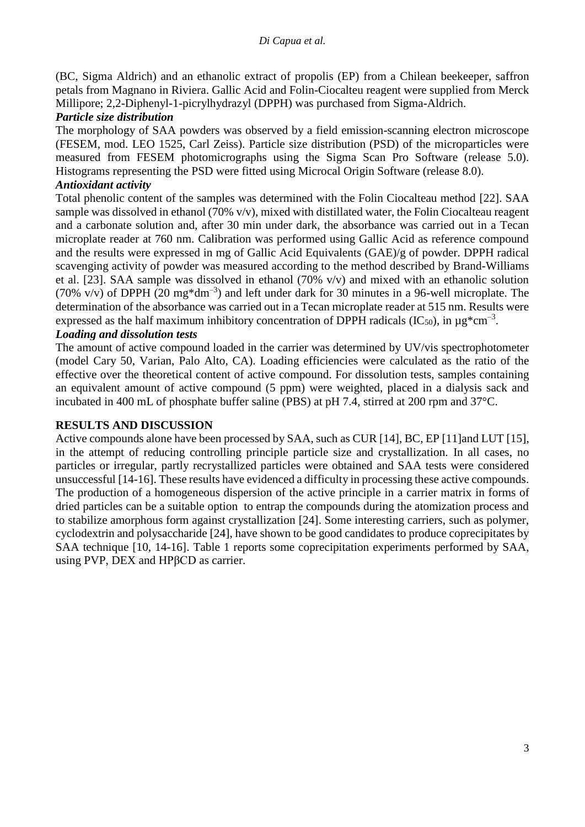(BC, Sigma Aldrich) and an ethanolic extract of propolis (EP) from a Chilean beekeeper, saffron petals from Magnano in Riviera. Gallic Acid and Folin-Ciocalteu reagent were supplied from Merck Millipore; 2,2-Diphenyl-1-picrylhydrazyl (DPPH) was purchased from Sigma-Aldrich.

### *Particle size distribution*

The morphology of SAA powders was observed by a field emission-scanning electron microscope (FESEM, mod. LEO 1525, Carl Zeiss). Particle size distribution (PSD) of the microparticles were measured from FESEM photomicrographs using the Sigma Scan Pro Software (release 5.0). Histograms representing the PSD were fitted using Microcal Origin Software (release 8.0).

## *Antioxidant activity*

Total phenolic content of the samples was determined with the Folin Ciocalteau method [22]. SAA sample was dissolved in ethanol (70% v/v), mixed with distillated water, the Folin Ciocalteau reagent and a carbonate solution and, after 30 min under dark, the absorbance was carried out in a Tecan microplate reader at 760 nm. Calibration was performed using Gallic Acid as reference compound and the results were expressed in mg of Gallic Acid Equivalents (GAE)/g of powder. DPPH radical scavenging activity of powder was measured according to the method described by Brand-Williams et al. [23]. SAA sample was dissolved in ethanol (70% v/v) and mixed with an ethanolic solution (70% v/v) of DPPH (20 mg\*dm<sup>-3</sup>) and left under dark for 30 minutes in a 96-well microplate. The determination of the absorbance was carried out in a Tecan microplate reader at 515 nm. Results were expressed as the half maximum inhibitory concentration of DPPH radicals (IC<sub>50</sub>), in  $\mu$ g\*cm<sup>-3</sup>.

## *Loading and dissolution tests*

The amount of active compound loaded in the carrier was determined by UV/vis spectrophotometer (model Cary 50, Varian, Palo Alto, CA). Loading efficiencies were calculated as the ratio of the effective over the theoretical content of active compound. For dissolution tests, samples containing an equivalent amount of active compound (5 ppm) were weighted, placed in a dialysis sack and incubated in 400 mL of phosphate buffer saline (PBS) at pH 7.4, stirred at 200 rpm and 37°C.

# **RESULTS AND DISCUSSION**

Active compounds alone have been processed by SAA, such as CUR [14], BC, EP [11]and LUT [15], in the attempt of reducing controlling principle particle size and crystallization. In all cases, no particles or irregular, partly recrystallized particles were obtained and SAA tests were considered unsuccessful [14-16]. These results have evidenced a difficulty in processing these active compounds. The production of a homogeneous dispersion of the active principle in a carrier matrix in forms of dried particles can be a suitable option to entrap the compounds during the atomization process and to stabilize amorphous form against crystallization [24]. Some interesting carriers, such as polymer, cyclodextrin and polysaccharide [24], have shown to be good candidates to produce coprecipitates by SAA technique [10, 14-16]. Table 1 reports some coprecipitation experiments performed by SAA, using PVP, DEX and HPβCD as carrier.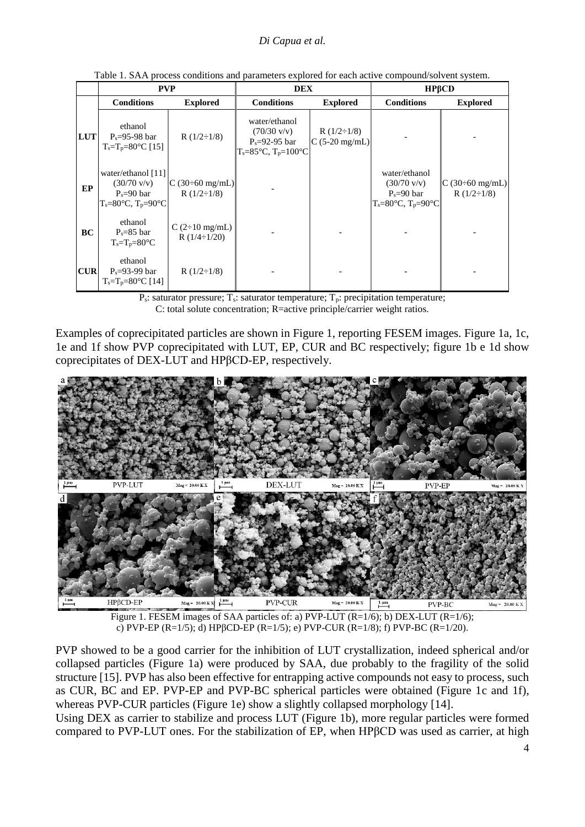|            | <b>PVP</b>                                                                                                             |                                                       | <b>DEX</b>                                                                                                |                                        | HPBCD                                                                                    |                                               |
|------------|------------------------------------------------------------------------------------------------------------------------|-------------------------------------------------------|-----------------------------------------------------------------------------------------------------------|----------------------------------------|------------------------------------------------------------------------------------------|-----------------------------------------------|
|            | <b>Conditions</b>                                                                                                      | <b>Explored</b>                                       | <b>Conditions</b>                                                                                         | <b>Explored</b>                        | <b>Conditions</b>                                                                        | <b>Explored</b>                               |
| <b>LUT</b> | ethanol<br>$P_s = 95-98$ bar<br>$T_s = T_p = 80^{\circ}C$ [15]                                                         | R $(1/2 \div 1/8)$                                    | water/ethanol<br>$(70/30 \text{ v/v})$<br>$P_s = 92-95$ bar<br>$T_s = 85^{\circ}C$ , $T_p = 100^{\circ}C$ | R $(1/2 \div 1/8)$<br>$C$ (5-20 mg/mL) |                                                                                          |                                               |
| EP         | water/ethanol [11]<br>$(30/70 \text{ v/v})$<br>$P_s = 90$ bar<br>$T_s = 80^\circ \text{C}$ , $T_p = 90^\circ \text{C}$ | $ C (30\div 60 \text{ mg/mL}) $<br>R $(1/2 \div 1/8)$ |                                                                                                           |                                        | water/ethanol<br>$(30/70 \text{ v/v})$<br>$P_s = 90$ bar<br>$T_s = 80$ °C, $T_p = 90$ °C | $\vert$ C (30÷60 mg/mL)<br>R $(1/2 \div 1/8)$ |
| <b>BC</b>  | ethanol<br>$P_s = 85$ bar<br>$T_s = T_p = 80$ °C                                                                       | $C(2\div 10$ mg/mL)<br>R $(1/4 \div 1/20)$            |                                                                                                           |                                        |                                                                                          |                                               |
| <b>CUR</b> | ethanol<br>$P_s = 93-99$ bar<br>$T_s = T_p = 80^{\circ}C$ [14]                                                         | R $(1/2 \div 1/8)$                                    |                                                                                                           |                                        |                                                                                          |                                               |

Table 1. SAA process conditions and parameters explored for each active compound/solvent system.

 $P_s$ : saturator pressure;  $T_s$ : saturator temperature;  $T_p$ : precipitation temperature; C: total solute concentration; R=active principle/carrier weight ratios.

Examples of coprecipitated particles are shown in Figure 1, reporting FESEM images. Figure 1a, 1c, 1e and 1f show PVP coprecipitated with LUT, EP, CUR and BC respectively; figure 1b e 1d show coprecipitates of DEX-LUT and HPβCD-EP, respectively.



Figure 1. FESEM images of SAA particles of: a) PVP-LUT (R=1/6); b) DEX-LUT (R=1/6); c) PVP-EP (R=1/5); d) HPβCD-EP (R=1/5); e) PVP-CUR (R=1/8); f) PVP-BC (R=1/20).

PVP showed to be a good carrier for the inhibition of LUT crystallization, indeed spherical and/or collapsed particles (Figure 1a) were produced by SAA, due probably to the fragility of the solid structure [15]. PVP has also been effective for entrapping active compounds not easy to process, such as CUR, BC and EP. PVP-EP and PVP-BC spherical particles were obtained (Figure 1c and 1f), whereas PVP-CUR particles (Figure 1e) show a slightly collapsed morphology [14].

Using DEX as carrier to stabilize and process LUT (Figure 1b), more regular particles were formed compared to PVP-LUT ones. For the stabilization of EP, when HPβCD was used as carrier, at high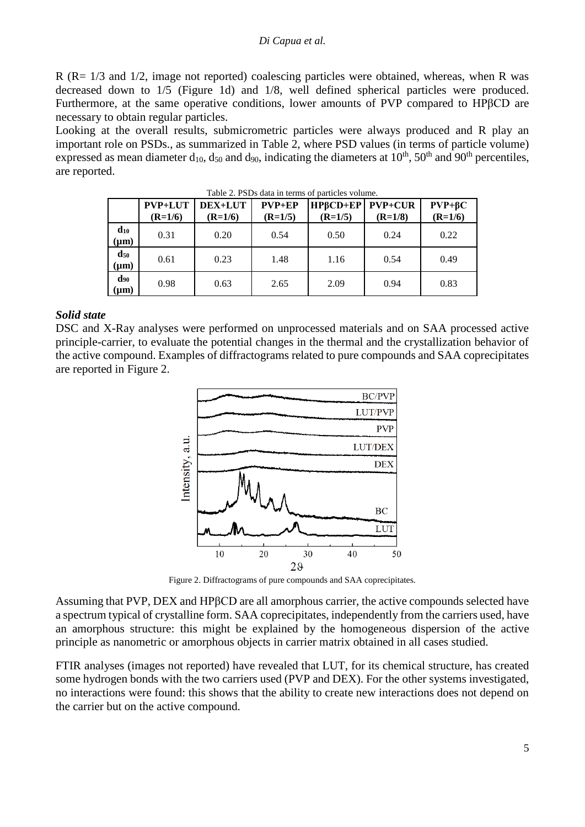R (R= 1/3 and 1/2, image not reported) coalescing particles were obtained, whereas, when R was decreased down to 1/5 (Figure 1d) and 1/8, well defined spherical particles were produced. Furthermore, at the same operative conditions, lower amounts of PVP compared to HPβCD are necessary to obtain regular particles.

Looking at the overall results, submicrometric particles were always produced and R play an important role on PSDs., as summarized in Table 2, where PSD values (in terms of particle volume) expressed as mean diameter  $d_{10}$ ,  $d_{50}$  and  $d_{90}$ , indicating the diameters at  $10^{th}$ ,  $50^{th}$  and  $90^{th}$  percentiles, are reported.

|                                         | <b>PVP+LUT</b><br>$(R=1/6)$ | DEX+LUT<br>$(R=1/6)$ | $PVP + EP$<br>$(R=1/5)$ | <b>HPBCD+EP PVP+CUR</b><br>$(R=1/5)$ | $(R=1/8)$ | $PVP + \beta C$<br>$(R=1/6)$ |
|-----------------------------------------|-----------------------------|----------------------|-------------------------|--------------------------------------|-----------|------------------------------|
| $\mathbf{d}_{10}$<br>$(\mu m)$          | 0.31                        | 0.20                 | 0.54                    | 0.50                                 | 0.24      | 0.22                         |
| $\mathbf{d}_{\mathbf{50}}$<br>$(\mu m)$ | 0.61                        | 0.23                 | 1.48                    | 1.16                                 | 0.54      | 0.49                         |
| $\bf{d}_{90}$<br>$(\mu m)$              | 0.98                        | 0.63                 | 2.65                    | 2.09                                 | 0.94      | 0.83                         |

Table 2. PSDs data in terms of particles volume.

#### *Solid state*

DSC and X-Ray analyses were performed on unprocessed materials and on SAA processed active principle-carrier, to evaluate the potential changes in the thermal and the crystallization behavior of the active compound. Examples of diffractograms related to pure compounds and SAA coprecipitates are reported in Figure 2.



Figure 2. Diffractograms of pure compounds and SAA coprecipitates.

Assuming that PVP, DEX and HPβCD are all amorphous carrier, the active compounds selected have a spectrum typical of crystalline form. SAA coprecipitates, independently from the carriers used, have an amorphous structure: this might be explained by the homogeneous dispersion of the active principle as nanometric or amorphous objects in carrier matrix obtained in all cases studied.

FTIR analyses (images not reported) have revealed that LUT, for its chemical structure, has created some hydrogen bonds with the two carriers used (PVP and DEX). For the other systems investigated, no interactions were found: this shows that the ability to create new interactions does not depend on the carrier but on the active compound.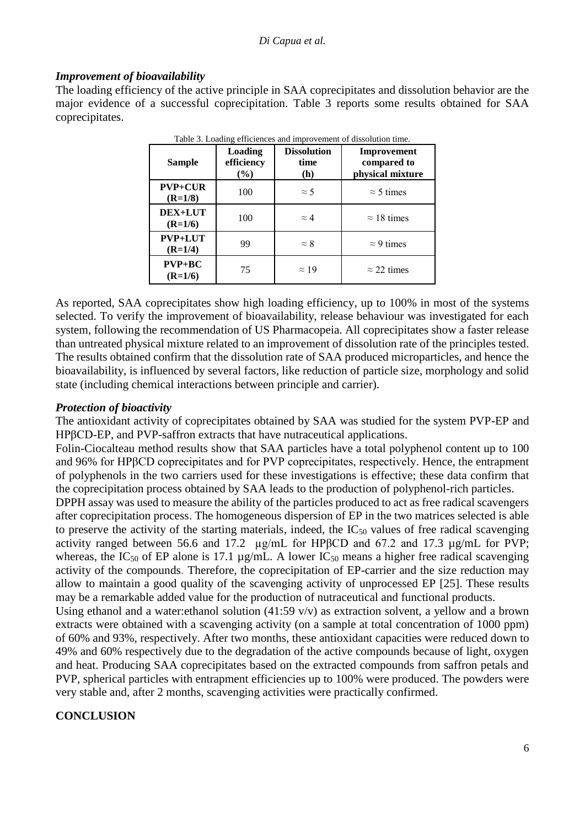#### *Di Capua et al.*

#### *Improvement of bioavailability*

The loading efficiency of the active principle in SAA coprecipitates and dissolution behavior are the major evidence of a successful coprecipitation. Table 3 reports some results obtained for SAA coprecipitates.

| <b>Sample</b>               | Loading<br>efficiency<br>$\frac{6}{6}$ | <b>Dissolution</b><br>time<br>(h) | Improvement<br>compared to<br>physical mixture |
|-----------------------------|----------------------------------------|-----------------------------------|------------------------------------------------|
| $PVP+CUR$<br>$(R=1/8)$      | 100                                    | $\approx$ 5                       | $\approx$ 5 times                              |
| DEX+LUT<br>$(R=1/6)$        | 100                                    | $\approx 4$                       | $\approx$ 18 times                             |
| <b>PVP+LUT</b><br>$(R=1/4)$ | 99                                     | $\approx 8$                       | $\approx$ 9 times                              |
| $PVP + BC$<br>$(R=1/6)$     | 75                                     | $\approx$ 19                      | $\approx$ 22 times                             |

Table 3. Loading efficiences and improvement of dissolution time.

As reported, SAA coprecipitates show high loading efficiency, up to 100% in most of the systems selected. To verify the improvement of bioavailability, release behaviour was investigated for each system, following the recommendation of US Pharmacopeia. All coprecipitates show a faster release than untreated physical mixture related to an improvement of dissolution rate of the principles tested. The results obtained confirm that the dissolution rate of SAA produced microparticles, and hence the bioavailability, is influenced by several factors, like reduction of particle size, morphology and solid state (including chemical interactions between principle and carrier).

#### *Protection of bioactivity*

The antioxidant activity of coprecipitates obtained by SAA was studied for the system PVP-EP and HPβCD-EP, and PVP-saffron extracts that have nutraceutical applications.

Folin-Ciocalteau method results show that SAA particles have a total polyphenol content up to 100 and 96% for HPβCD coprecipitates and for PVP coprecipitates, respectively. Hence, the entrapment of polyphenols in the two carriers used for these investigations is effective; these data confirm that the coprecipitation process obtained by SAA leads to the production of polyphenol-rich particles.

DPPH assay was used to measure the ability of the particles produced to act as free radical scavengers after coprecipitation process. The homogeneous dispersion of EP in the two matrices selected is able to preserve the activity of the starting materials, indeed, the  $IC_{50}$  values of free radical scavenging activity ranged between 56.6 and 17.2 µg/mL for HPβCD and 67.2 and 17.3 µg/mL for PVP; whereas, the IC<sub>50</sub> of EP alone is 17.1  $\mu$ g/mL. A lower IC<sub>50</sub> means a higher free radical scavenging activity of the compounds. Therefore, the coprecipitation of EP-carrier and the size reduction may allow to maintain a good quality of the scavenging activity of unprocessed EP [25]. These results may be a remarkable added value for the production of nutraceutical and functional products.

Using ethanol and a water:ethanol solution (41:59 v/v) as extraction solvent, a yellow and a brown extracts were obtained with a scavenging activity (on a sample at total concentration of 1000 ppm) of 60% and 93%, respectively. After two months, these antioxidant capacities were reduced down to 49% and 60% respectively due to the degradation of the active compounds because of light, oxygen and heat. Producing SAA coprecipitates based on the extracted compounds from saffron petals and PVP, spherical particles with entrapment efficiencies up to 100% were produced. The powders were very stable and, after 2 months, scavenging activities were practically confirmed.

### **CONCLUSION**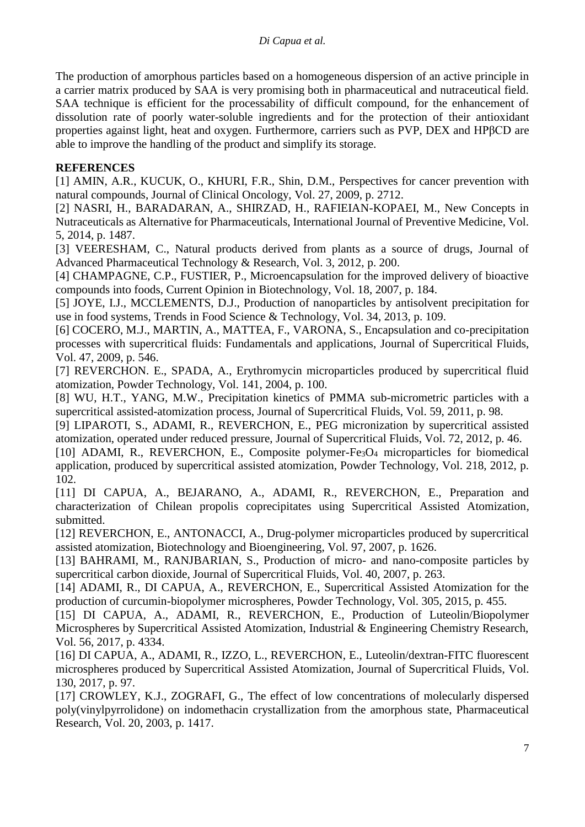The production of amorphous particles based on a homogeneous dispersion of an active principle in a carrier matrix produced by SAA is very promising both in pharmaceutical and nutraceutical field. SAA technique is efficient for the processability of difficult compound, for the enhancement of dissolution rate of poorly water-soluble ingredients and for the protection of their antioxidant properties against light, heat and oxygen. Furthermore, carriers such as PVP, DEX and HPβCD are able to improve the handling of the product and simplify its storage.

## **REFERENCES**

[1] AMIN, A.R., KUCUK, O., KHURI, F.R., Shin, D.M., Perspectives for cancer prevention with natural compounds, Journal of Clinical Oncology, Vol. 27, 2009, p. 2712.

[2] NASRI, H., BARADARAN, A., SHIRZAD, H., RAFIEIAN-KOPAEI, M., New Concepts in Nutraceuticals as Alternative for Pharmaceuticals, International Journal of Preventive Medicine, Vol. 5, 2014, p. 1487.

[3] VEERESHAM, C., Natural products derived from plants as a source of drugs, Journal of Advanced Pharmaceutical Technology & Research, Vol. 3, 2012, p. 200.

[4] CHAMPAGNE, C.P., FUSTIER, P., Microencapsulation for the improved delivery of bioactive compounds into foods, Current Opinion in Biotechnology, Vol. 18, 2007, p. 184.

[5] JOYE, I.J., MCCLEMENTS, D.J., Production of nanoparticles by antisolvent precipitation for use in food systems, Trends in Food Science & Technology, Vol. 34, 2013, p. 109.

[6] COCERO, M.J., MARTIN, A., MATTEA, F., VARONA, S., Encapsulation and co-precipitation processes with supercritical fluids: Fundamentals and applications, Journal of Supercritical Fluids, Vol. 47, 2009, p. 546.

[7] REVERCHON. E., SPADA, A., Erythromycin microparticles produced by supercritical fluid atomization, Powder Technology, Vol. 141, 2004, p. 100.

[8] WU, H.T., YANG, M.W., Precipitation kinetics of PMMA sub-micrometric particles with a supercritical assisted-atomization process, Journal of Supercritical Fluids, Vol. 59, 2011, p. 98.

[9] LIPAROTI, S., ADAMI, R., REVERCHON, E., PEG micronization by supercritical assisted atomization, operated under reduced pressure, Journal of Supercritical Fluids, Vol. 72, 2012, p. 46.

[10] ADAMI, R., REVERCHON, E., Composite polymer-Fe<sub>3</sub>O<sub>4</sub> microparticles for biomedical application, produced by supercritical assisted atomization, Powder Technology, Vol. 218, 2012, p. 102.

[11] DI CAPUA, A., BEJARANO, A., ADAMI, R., REVERCHON, E., Preparation and characterization of Chilean propolis coprecipitates using Supercritical Assisted Atomization, submitted.

[12] REVERCHON, E., ANTONACCI, A., Drug-polymer microparticles produced by supercritical assisted atomization, Biotechnology and Bioengineering, Vol. 97, 2007, p. 1626.

[13] BAHRAMI, M., RANJBARIAN, S., Production of micro- and nano-composite particles by supercritical carbon dioxide, Journal of Supercritical Fluids, Vol. 40, 2007, p. 263.

[14] ADAMI, R., DI CAPUA, A., REVERCHON, E., Supercritical Assisted Atomization for the production of curcumin-biopolymer microspheres, Powder Technology, Vol. 305, 2015, p. 455.

[15] DI CAPUA, A., ADAMI, R., REVERCHON, E., Production of Luteolin/Biopolymer Microspheres by Supercritical Assisted Atomization, Industrial & Engineering Chemistry Research, Vol. 56, 2017, p. 4334.

[16] DI CAPUA, A., ADAMI, R., IZZO, L., REVERCHON, E., Luteolin/dextran-FITC fluorescent microspheres produced by Supercritical Assisted Atomization, Journal of Supercritical Fluids, Vol. 130, 2017, p. 97.

[17] CROWLEY, K.J., ZOGRAFI, G., The effect of low concentrations of molecularly dispersed poly(vinylpyrrolidone) on indomethacin crystallization from the amorphous state, Pharmaceutical Research, Vol. 20, 2003, p. 1417.